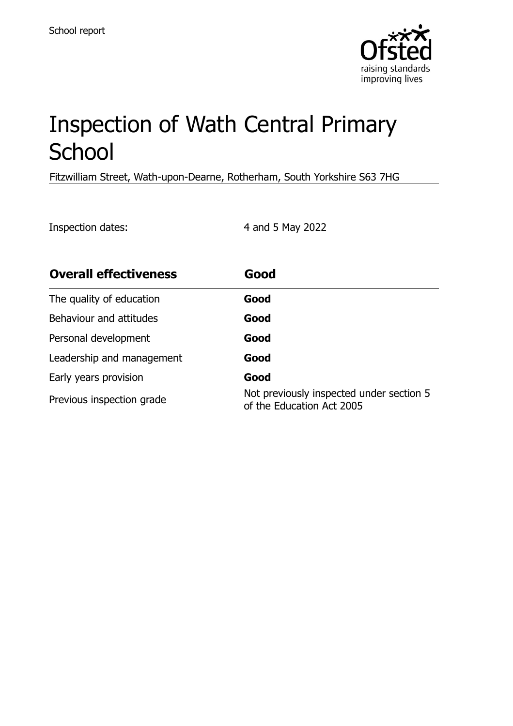

# Inspection of Wath Central Primary **School**

Fitzwilliam Street, Wath-upon-Dearne, Rotherham, South Yorkshire S63 7HG

Inspection dates: 4 and 5 May 2022

| <b>Overall effectiveness</b> | Good                                                                  |
|------------------------------|-----------------------------------------------------------------------|
| The quality of education     | Good                                                                  |
| Behaviour and attitudes      | Good                                                                  |
| Personal development         | Good                                                                  |
| Leadership and management    | Good                                                                  |
| Early years provision        | Good                                                                  |
| Previous inspection grade    | Not previously inspected under section 5<br>of the Education Act 2005 |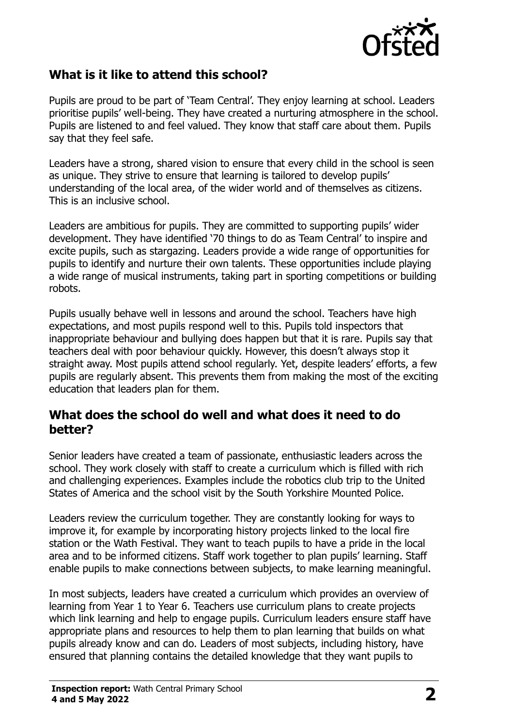

# **What is it like to attend this school?**

Pupils are proud to be part of 'Team Central'. They enjoy learning at school. Leaders prioritise pupils' well-being. They have created a nurturing atmosphere in the school. Pupils are listened to and feel valued. They know that staff care about them. Pupils say that they feel safe.

Leaders have a strong, shared vision to ensure that every child in the school is seen as unique. They strive to ensure that learning is tailored to develop pupils' understanding of the local area, of the wider world and of themselves as citizens. This is an inclusive school.

Leaders are ambitious for pupils. They are committed to supporting pupils' wider development. They have identified '70 things to do as Team Central' to inspire and excite pupils, such as stargazing. Leaders provide a wide range of opportunities for pupils to identify and nurture their own talents. These opportunities include playing a wide range of musical instruments, taking part in sporting competitions or building robots.

Pupils usually behave well in lessons and around the school. Teachers have high expectations, and most pupils respond well to this. Pupils told inspectors that inappropriate behaviour and bullying does happen but that it is rare. Pupils say that teachers deal with poor behaviour quickly. However, this doesn't always stop it straight away. Most pupils attend school regularly. Yet, despite leaders' efforts, a few pupils are regularly absent. This prevents them from making the most of the exciting education that leaders plan for them.

#### **What does the school do well and what does it need to do better?**

Senior leaders have created a team of passionate, enthusiastic leaders across the school. They work closely with staff to create a curriculum which is filled with rich and challenging experiences. Examples include the robotics club trip to the United States of America and the school visit by the South Yorkshire Mounted Police.

Leaders review the curriculum together. They are constantly looking for ways to improve it, for example by incorporating history projects linked to the local fire station or the Wath Festival. They want to teach pupils to have a pride in the local area and to be informed citizens. Staff work together to plan pupils' learning. Staff enable pupils to make connections between subjects, to make learning meaningful.

In most subjects, leaders have created a curriculum which provides an overview of learning from Year 1 to Year 6. Teachers use curriculum plans to create projects which link learning and help to engage pupils. Curriculum leaders ensure staff have appropriate plans and resources to help them to plan learning that builds on what pupils already know and can do. Leaders of most subjects, including history, have ensured that planning contains the detailed knowledge that they want pupils to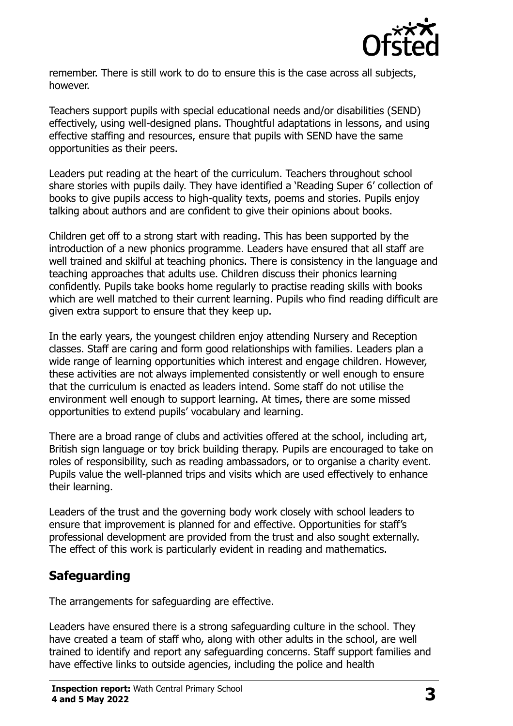

remember. There is still work to do to ensure this is the case across all subjects, however.

Teachers support pupils with special educational needs and/or disabilities (SEND) effectively, using well-designed plans. Thoughtful adaptations in lessons, and using effective staffing and resources, ensure that pupils with SEND have the same opportunities as their peers.

Leaders put reading at the heart of the curriculum. Teachers throughout school share stories with pupils daily. They have identified a 'Reading Super 6' collection of books to give pupils access to high-quality texts, poems and stories. Pupils enjoy talking about authors and are confident to give their opinions about books.

Children get off to a strong start with reading. This has been supported by the introduction of a new phonics programme. Leaders have ensured that all staff are well trained and skilful at teaching phonics. There is consistency in the language and teaching approaches that adults use. Children discuss their phonics learning confidently. Pupils take books home regularly to practise reading skills with books which are well matched to their current learning. Pupils who find reading difficult are given extra support to ensure that they keep up.

In the early years, the youngest children enjoy attending Nursery and Reception classes. Staff are caring and form good relationships with families. Leaders plan a wide range of learning opportunities which interest and engage children. However, these activities are not always implemented consistently or well enough to ensure that the curriculum is enacted as leaders intend. Some staff do not utilise the environment well enough to support learning. At times, there are some missed opportunities to extend pupils' vocabulary and learning.

There are a broad range of clubs and activities offered at the school, including art, British sign language or toy brick building therapy. Pupils are encouraged to take on roles of responsibility, such as reading ambassadors, or to organise a charity event. Pupils value the well-planned trips and visits which are used effectively to enhance their learning.

Leaders of the trust and the governing body work closely with school leaders to ensure that improvement is planned for and effective. Opportunities for staff's professional development are provided from the trust and also sought externally. The effect of this work is particularly evident in reading and mathematics.

# **Safeguarding**

The arrangements for safeguarding are effective.

Leaders have ensured there is a strong safeguarding culture in the school. They have created a team of staff who, along with other adults in the school, are well trained to identify and report any safeguarding concerns. Staff support families and have effective links to outside agencies, including the police and health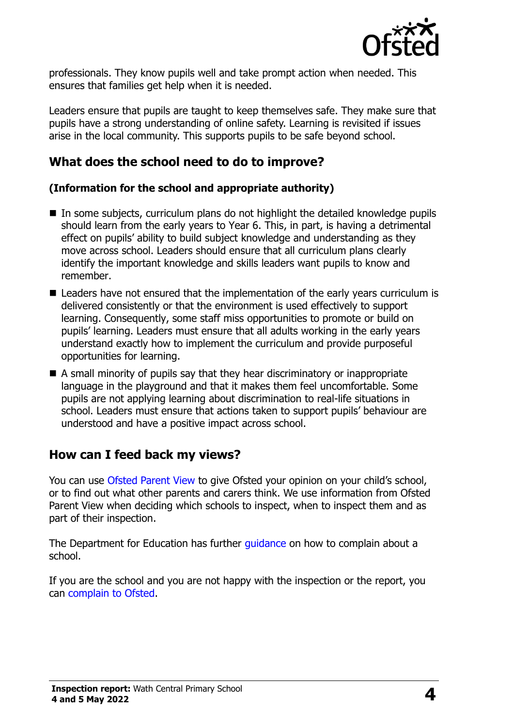

professionals. They know pupils well and take prompt action when needed. This ensures that families get help when it is needed.

Leaders ensure that pupils are taught to keep themselves safe. They make sure that pupils have a strong understanding of online safety. Learning is revisited if issues arise in the local community. This supports pupils to be safe beyond school.

## **What does the school need to do to improve?**

#### **(Information for the school and appropriate authority)**

- In some subjects, curriculum plans do not highlight the detailed knowledge pupils should learn from the early years to Year 6. This, in part, is having a detrimental effect on pupils' ability to build subject knowledge and understanding as they move across school. Leaders should ensure that all curriculum plans clearly identify the important knowledge and skills leaders want pupils to know and remember.
- Leaders have not ensured that the implementation of the early years curriculum is delivered consistently or that the environment is used effectively to support learning. Consequently, some staff miss opportunities to promote or build on pupils' learning. Leaders must ensure that all adults working in the early years understand exactly how to implement the curriculum and provide purposeful opportunities for learning.
- A small minority of pupils say that they hear discriminatory or inappropriate language in the playground and that it makes them feel uncomfortable. Some pupils are not applying learning about discrimination to real-life situations in school. Leaders must ensure that actions taken to support pupils' behaviour are understood and have a positive impact across school.

### **How can I feed back my views?**

You can use [Ofsted Parent View](http://parentview.ofsted.gov.uk/) to give Ofsted your opinion on your child's school, or to find out what other parents and carers think. We use information from Ofsted Parent View when deciding which schools to inspect, when to inspect them and as part of their inspection.

The Department for Education has further quidance on how to complain about a school.

If you are the school and you are not happy with the inspection or the report, you can [complain to Ofsted.](http://www.gov.uk/complain-ofsted-report)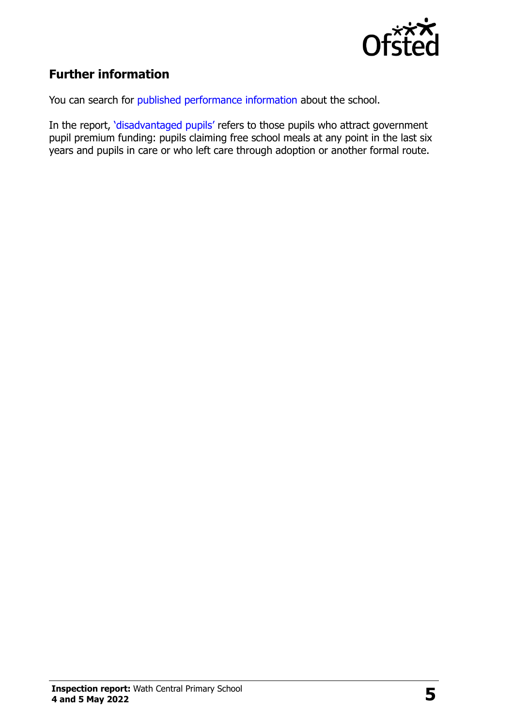

# **Further information**

You can search for [published performance information](http://www.compare-school-performance.service.gov.uk/) about the school.

In the report, '[disadvantaged pupils](http://www.gov.uk/guidance/pupil-premium-information-for-schools-and-alternative-provision-settings)' refers to those pupils who attract government pupil premium funding: pupils claiming free school meals at any point in the last six years and pupils in care or who left care through adoption or another formal route.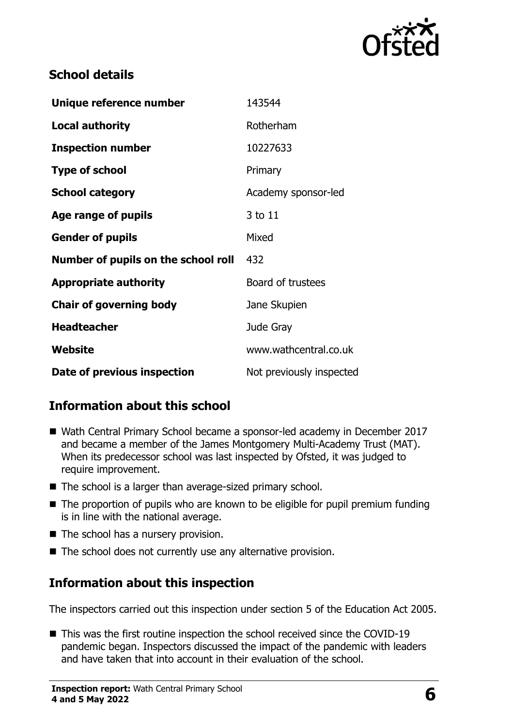

# **School details**

| Unique reference number             | 143544                   |
|-------------------------------------|--------------------------|
| <b>Local authority</b>              | Rotherham                |
| <b>Inspection number</b>            | 10227633                 |
| <b>Type of school</b>               | Primary                  |
| <b>School category</b>              | Academy sponsor-led      |
| Age range of pupils                 | 3 to 11                  |
| <b>Gender of pupils</b>             | Mixed                    |
| Number of pupils on the school roll | 432                      |
| <b>Appropriate authority</b>        | Board of trustees        |
| <b>Chair of governing body</b>      | Jane Skupien             |
| <b>Headteacher</b>                  | Jude Gray                |
| <b>Website</b>                      | www.wathcentral.co.uk    |
| Date of previous inspection         | Not previously inspected |

# **Information about this school**

- Wath Central Primary School became a sponsor-led academy in December 2017 and became a member of the James Montgomery Multi-Academy Trust (MAT). When its predecessor school was last inspected by Ofsted, it was judged to require improvement.
- The school is a larger than average-sized primary school.
- The proportion of pupils who are known to be eligible for pupil premium funding is in line with the national average.
- The school has a nursery provision.
- $\blacksquare$  The school does not currently use any alternative provision.

### **Information about this inspection**

The inspectors carried out this inspection under section 5 of the Education Act 2005.

■ This was the first routine inspection the school received since the COVID-19 pandemic began. Inspectors discussed the impact of the pandemic with leaders and have taken that into account in their evaluation of the school.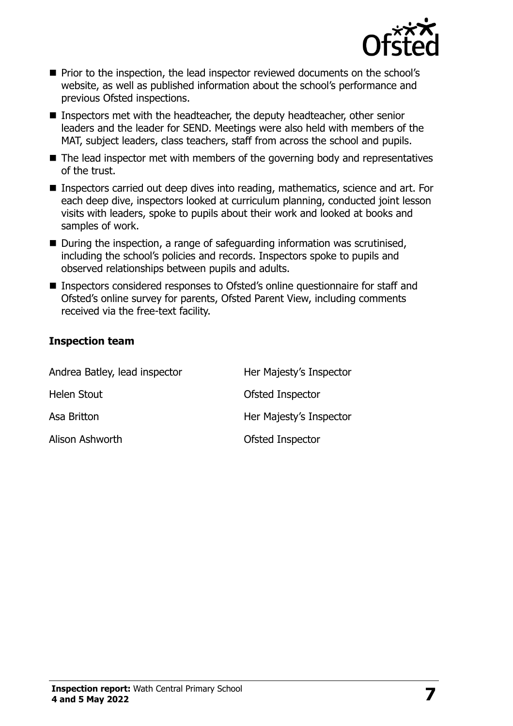

- **Prior to the inspection, the lead inspector reviewed documents on the school's** website, as well as published information about the school's performance and previous Ofsted inspections.
- Inspectors met with the headteacher, the deputy headteacher, other senior leaders and the leader for SEND. Meetings were also held with members of the MAT, subject leaders, class teachers, staff from across the school and pupils.
- The lead inspector met with members of the governing body and representatives of the trust.
- Inspectors carried out deep dives into reading, mathematics, science and art. For each deep dive, inspectors looked at curriculum planning, conducted joint lesson visits with leaders, spoke to pupils about their work and looked at books and samples of work.
- During the inspection, a range of safeguarding information was scrutinised, including the school's policies and records. Inspectors spoke to pupils and observed relationships between pupils and adults.
- Inspectors considered responses to Ofsted's online questionnaire for staff and Ofsted's online survey for parents, Ofsted Parent View, including comments received via the free-text facility.

#### **Inspection team**

| Andrea Batley, lead inspector | Her Majesty's Inspector |
|-------------------------------|-------------------------|
| Helen Stout                   | Ofsted Inspector        |
| Asa Britton                   | Her Majesty's Inspector |
| Alison Ashworth               | Ofsted Inspector        |